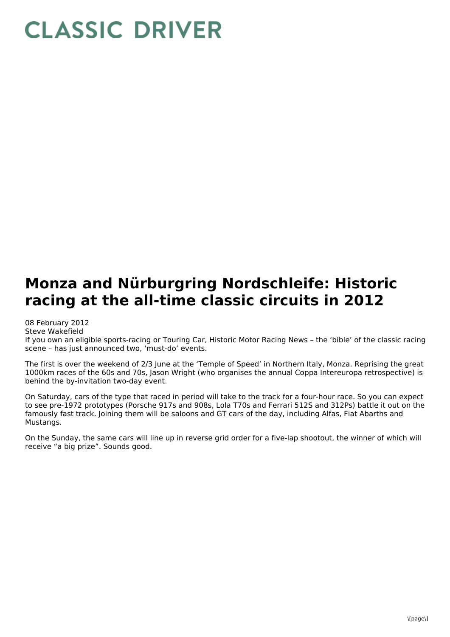## **CLASSIC DRIVER**

## **Monza and Nürburgring Nordschleife: Historic racing at the all-time classic circuits in 2012**

08 February 2012

Steve Wakefield If you own an eligible sports-racing or Touring Car, Historic Motor Racing News – the 'bible' of the classic racing scene – has just announced two, 'must-do' events.

The first is over the weekend of 2/3 June at the 'Temple of Speed' in Northern Italy, Monza. Reprising the great 1000km races of the 60s and 70s, Jason Wright (who organises the annual Coppa Intereuropa retrospective) is behind the by-invitation two-day event.

On Saturday, cars of the type that raced in period will take to the track for a four-hour race. So you can expect to see pre-1972 prototypes (Porsche 917s and 908s, Lola T70s and Ferrari 512S and 312Ps) battle it out on the famously fast track. Joining them will be saloons and GT cars of the day, including Alfas, Fiat Abarths and Mustangs.

On the Sunday, the same cars will line up in reverse grid order for a five-lap shootout, the winner of which will receive "a big prize". Sounds good.